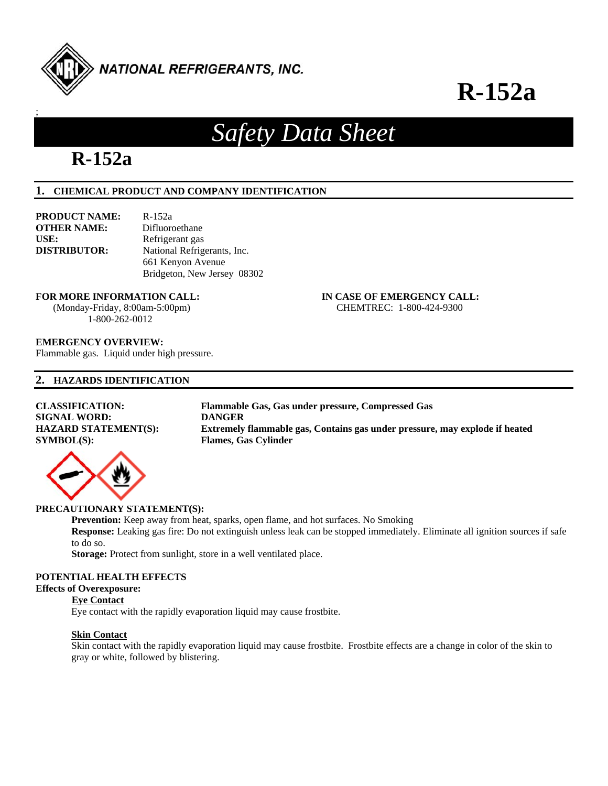

# **R-152a**

# *Safety Data Sheet*

# **R-152a**

;

# **1. CHEMICAL PRODUCT AND COMPANY IDENTIFICATION**

| PRODUCT NAME:       | R-152a                      |
|---------------------|-----------------------------|
| OTHER NAME:         | Difluoroethane              |
| USE:                | Refrigerant gas             |
| <b>DISTRIBUTOR:</b> | National Refrigerants, Inc. |
|                     | 661 Kenyon Avenue           |
|                     | Bridgeton, New Jersey 08302 |

#### **FOR MORE INFORMATION CALL: IN CASE OF EMERGENCY CALL:**

1-800-262-0012

# (Monday-Friday, 8:00am-5:00pm) CHEMTREC: 1-800-424-9300

# **EMERGENCY OVERVIEW:**

Flammable gas. Liquid under high pressure.

# **2. HAZARDS IDENTIFICATION**

| <b>CLASSIFICATION:</b>      | Flammable Gas, Gas under pressure, Compressed Gas                           |
|-----------------------------|-----------------------------------------------------------------------------|
| <b>SIGNAL WORD:</b>         | <b>DANGER</b>                                                               |
| <b>HAZARD STATEMENT(S):</b> | Extremely flammable gas, Contains gas under pressure, may explode if heated |
| SYMBOL(S):                  | <b>Flames, Gas Cylinder</b>                                                 |
|                             |                                                                             |

# **PRECAUTIONARY STATEMENT(S):**

**Prevention:** Keep away from heat, sparks, open flame, and hot surfaces. No Smoking

**Response:** Leaking gas fire: Do not extinguish unless leak can be stopped immediately. Eliminate all ignition sources if safe to do so.

**Storage:** Protect from sunlight, store in a well ventilated place.

# **POTENTIAL HEALTH EFFECTS**

# **Effects of Overexposure:**

# **Eye Contact**

Eye contact with the rapidly evaporation liquid may cause frostbite.

# **Skin Contact**

 Skin contact with the rapidly evaporation liquid may cause frostbite. Frostbite effects are a change in color of the skin to gray or white, followed by blistering.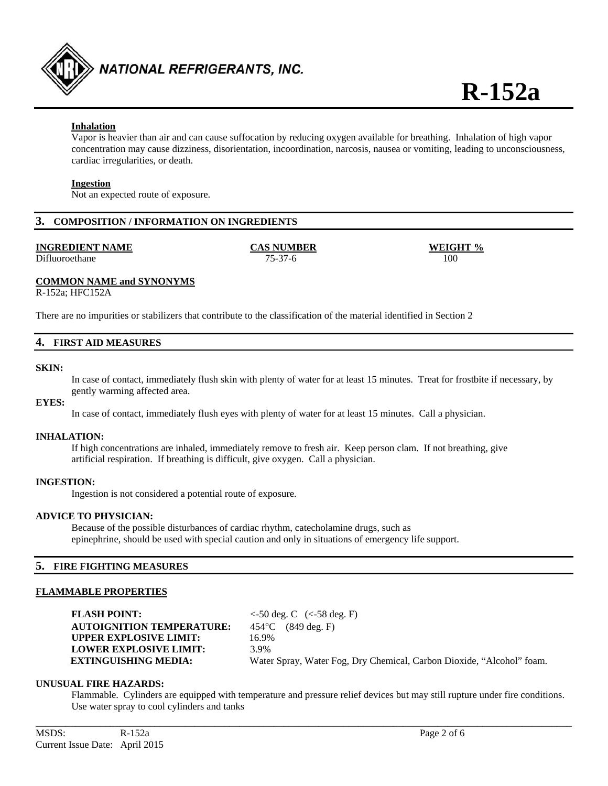

# **Inhalation**

 Vapor is heavier than air and can cause suffocation by reducing oxygen available for breathing. Inhalation of high vapor concentration may cause dizziness, disorientation, incoordination, narcosis, nausea or vomiting, leading to unconsciousness, cardiac irregularities, or death.

## **Ingestion**

Not an expected route of exposure.

# **3. COMPOSITION / INFORMATION ON INGREDIENTS**

#### **INGREDIENT NAME CAS NUMBER WEIGHT %**

Difluoroethane 75-37-6 100

# **COMMON NAME and SYNONYMS**

R-152a; HFC152A

There are no impurities or stabilizers that contribute to the classification of the material identified in Section 2

# **4. FIRST AID MEASURES**

#### **SKIN:**

 In case of contact, immediately flush skin with plenty of water for at least 15 minutes. Treat for frostbite if necessary, by gently warming affected area.

#### **EYES:**

In case of contact, immediately flush eyes with plenty of water for at least 15 minutes. Call a physician.

#### **INHALATION:**

 If high concentrations are inhaled, immediately remove to fresh air. Keep person clam. If not breathing, give artificial respiration. If breathing is difficult, give oxygen. Call a physician.

#### **INGESTION:**

Ingestion is not considered a potential route of exposure.

# **ADVICE TO PHYSICIAN:**

Because of the possible disturbances of cardiac rhythm, catecholamine drugs, such as epinephrine, should be used with special caution and only in situations of emergency life support.

# **5. FIRE FIGHTING MEASURES**

# **FLAMMABLE PROPERTIES**

**FLASH POINT:** <-50 deg. C (<-58 deg. F) **AUTOIGNITION TEMPERATURE:** 454°C (849 deg. F) **UPPER EXPLOSIVE LIMIT:** 16.9% **LOWER EXPLOSIVE LIMIT:** 3.9%

 **EXTINGUISHING MEDIA:** Water Spray, Water Fog, Dry Chemical, Carbon Dioxide, "Alcohol" foam.

#### **UNUSUAL FIRE HAZARDS:**

Flammable. Cylinders are equipped with temperature and pressure relief devices but may still rupture under fire conditions. Use water spray to cool cylinders and tanks

**\_\_\_\_\_\_\_\_\_\_\_\_\_\_\_\_\_\_\_\_\_\_\_\_\_\_\_\_\_\_\_\_\_\_\_\_\_\_\_\_\_\_\_\_\_\_\_\_\_\_\_\_\_\_\_\_\_\_\_\_\_\_\_\_\_\_\_\_\_\_\_\_\_\_\_\_\_\_\_\_\_\_\_\_\_\_\_\_\_\_\_\_\_\_\_\_\_\_\_\_\_\_\_\_\_\_\_\_**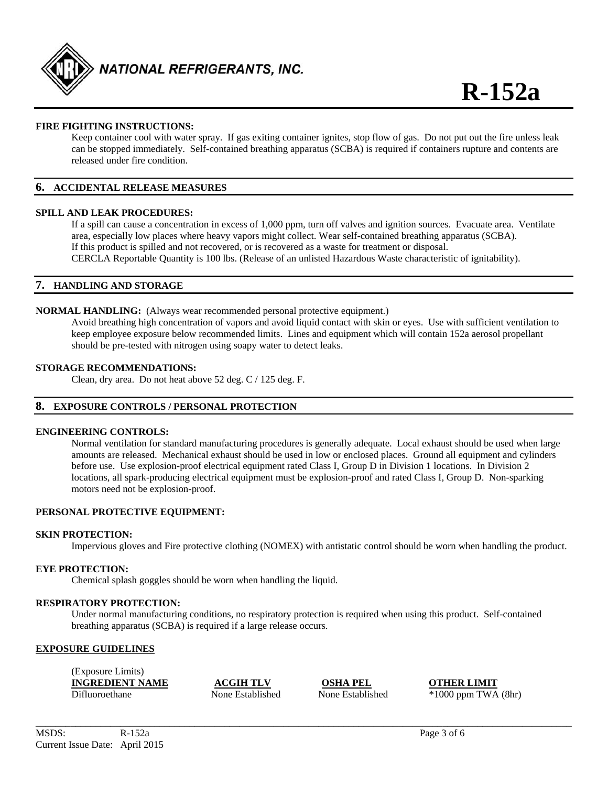

# **FIRE FIGHTING INSTRUCTIONS:**

Keep container cool with water spray. If gas exiting container ignites, stop flow of gas. Do not put out the fire unless leak can be stopped immediately. Self-contained breathing apparatus (SCBA) is required if containers rupture and contents are released under fire condition.

## **6. ACCIDENTAL RELEASE MEASURES**

#### **SPILL AND LEAK PROCEDURES:**

If a spill can cause a concentration in excess of 1,000 ppm, turn off valves and ignition sources. Evacuate area. Ventilate area, especially low places where heavy vapors might collect. Wear self-contained breathing apparatus (SCBA). If this product is spilled and not recovered, or is recovered as a waste for treatment or disposal. CERCLA Reportable Quantity is 100 lbs. (Release of an unlisted Hazardous Waste characteristic of ignitability).

# **7. HANDLING AND STORAGE**

#### **NORMAL HANDLING:** (Always wear recommended personal protective equipment.)

Avoid breathing high concentration of vapors and avoid liquid contact with skin or eyes. Use with sufficient ventilation to keep employee exposure below recommended limits. Lines and equipment which will contain 152a aerosol propellant should be pre-tested with nitrogen using soapy water to detect leaks.

#### **STORAGE RECOMMENDATIONS:**

Clean, dry area. Do not heat above 52 deg. C / 125 deg. F.

# **8. EXPOSURE CONTROLS / PERSONAL PROTECTION**

#### **ENGINEERING CONTROLS:**

 Normal ventilation for standard manufacturing procedures is generally adequate. Local exhaust should be used when large amounts are released. Mechanical exhaust should be used in low or enclosed places. Ground all equipment and cylinders before use. Use explosion-proof electrical equipment rated Class I, Group D in Division 1 locations. In Division 2 locations, all spark-producing electrical equipment must be explosion-proof and rated Class I, Group D. Non-sparking motors need not be explosion-proof.

#### **PERSONAL PROTECTIVE EQUIPMENT:**

#### **SKIN PROTECTION:**

Impervious gloves and Fire protective clothing (NOMEX) with antistatic control should be worn when handling the product.

# **EYE PROTECTION:**

Chemical splash goggles should be worn when handling the liquid.

#### **RESPIRATORY PROTECTION:**

Under normal manufacturing conditions, no respiratory protection is required when using this product. Self-contained breathing apparatus (SCBA) is required if a large release occurs.

#### **EXPOSURE GUIDELINES**

| (Exposure Limits)      |                  |                  |                         |
|------------------------|------------------|------------------|-------------------------|
| <b>INGREDIENT NAME</b> | <b>ACGIH TLV</b> | <b>OSHA PEL</b>  | <b>OTHER LIMIT</b>      |
| Difluoroethane         | None Established | None Established | $*1000$ ppm TWA $(8hr)$ |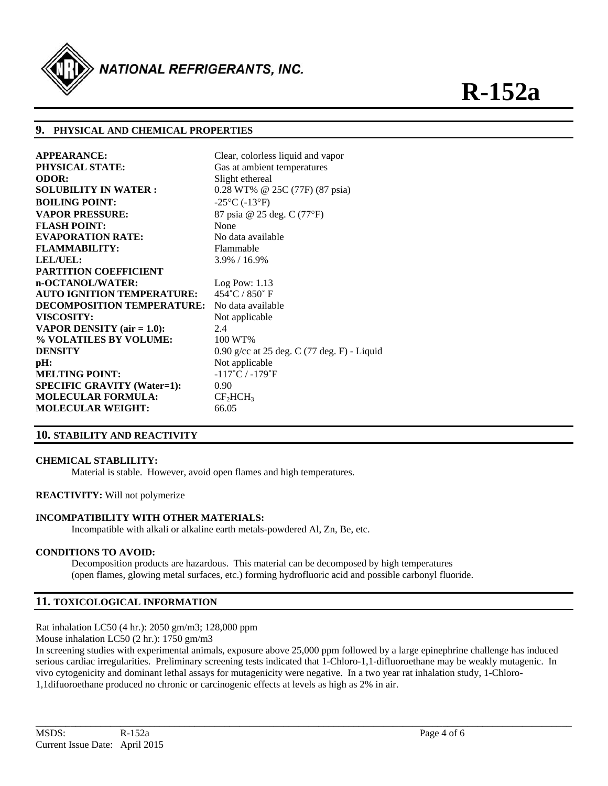

# **9. PHYSICAL AND CHEMICAL PROPERTIES**

| <b>APPEARANCE:</b>                   | Clear, colorless liquid and vapor             |
|--------------------------------------|-----------------------------------------------|
| <b>PHYSICAL STATE:</b>               | Gas at ambient temperatures                   |
| <b>ODOR:</b>                         | Slight ethereal                               |
| <b>SOLUBILITY IN WATER:</b>          | 0.28 WT% @ 25C (77F) (87 psia)                |
| <b>BOILING POINT:</b>                | $-25^{\circ}$ C ( $-13^{\circ}$ F)            |
| <b>VAPOR PRESSURE:</b>               | 87 psia @ 25 deg. C (77°F)                    |
| <b>FLASH POINT:</b>                  | None                                          |
| <b>EVAPORATION RATE:</b>             | No data available                             |
| <b>FLAMMABILITY:</b>                 | <b>Flammable</b>                              |
| LEL/UEL:                             | 3.9% / 16.9%                                  |
| <b>PARTITION COEFFICIENT</b>         |                                               |
| n-OCTANOL/WATER:                     | $Log$ Pow: 1.13                               |
| <b>AUTO IGNITION TEMPERATURE:</b>    | $454^{\circ}$ C / 850 $^{\circ}$ F            |
| <b>DECOMPOSITION TEMPERATURE:</b>    | No data available                             |
| <b>VISCOSITY:</b>                    | Not applicable                                |
| <b>VAPOR DENSITY</b> (air $= 1.0$ ): | 2.4                                           |
| % VOLATILES BY VOLUME:               | 100 WT%                                       |
| <b>DENSITY</b>                       | $0.90$ g/cc at 25 deg. C (77 deg. F) - Liquid |
| pH:                                  | Not applicable                                |
| <b>MELTING POINT:</b>                | $-117^{\circ}$ C / $-179^{\circ}$ F           |
| <b>SPECIFIC GRAVITY (Water=1):</b>   | 0.90                                          |
| <b>MOLECULAR FORMULA:</b>            | CF <sub>2</sub> HCH <sub>3</sub>              |
| <b>MOLECULAR WEIGHT:</b>             | 66.05                                         |

# **10. STABILITY AND REACTIVITY**

#### **CHEMICAL STABLILITY:**

Material is stable. However, avoid open flames and high temperatures.

#### **REACTIVITY:** Will not polymerize

#### **INCOMPATIBILITY WITH OTHER MATERIALS:**

Incompatible with alkali or alkaline earth metals-powdered Al, Zn, Be, etc.

# **CONDITIONS TO AVOID:**

Decomposition products are hazardous. This material can be decomposed by high temperatures (open flames, glowing metal surfaces, etc.) forming hydrofluoric acid and possible carbonyl fluoride.

# **11. TOXICOLOGICAL INFORMATION**

Rat inhalation LC50 (4 hr.): 2050 gm/m3; 128,000 ppm

Mouse inhalation LC50 (2 hr.): 1750 gm/m3

In screening studies with experimental animals, exposure above 25,000 ppm followed by a large epinephrine challenge has induced serious cardiac irregularities. Preliminary screening tests indicated that 1-Chloro-1,1-difluoroethane may be weakly mutagenic. In vivo cytogenicity and dominant lethal assays for mutagenicity were negative. In a two year rat inhalation study, 1-Chloro-1,1difuoroethane produced no chronic or carcinogenic effects at levels as high as 2% in air.

**\_\_\_\_\_\_\_\_\_\_\_\_\_\_\_\_\_\_\_\_\_\_\_\_\_\_\_\_\_\_\_\_\_\_\_\_\_\_\_\_\_\_\_\_\_\_\_\_\_\_\_\_\_\_\_\_\_\_\_\_\_\_\_\_\_\_\_\_\_\_\_\_\_\_\_\_\_\_\_\_\_\_\_\_\_\_\_\_\_\_\_\_\_\_\_\_\_\_\_\_\_\_\_\_\_\_\_\_**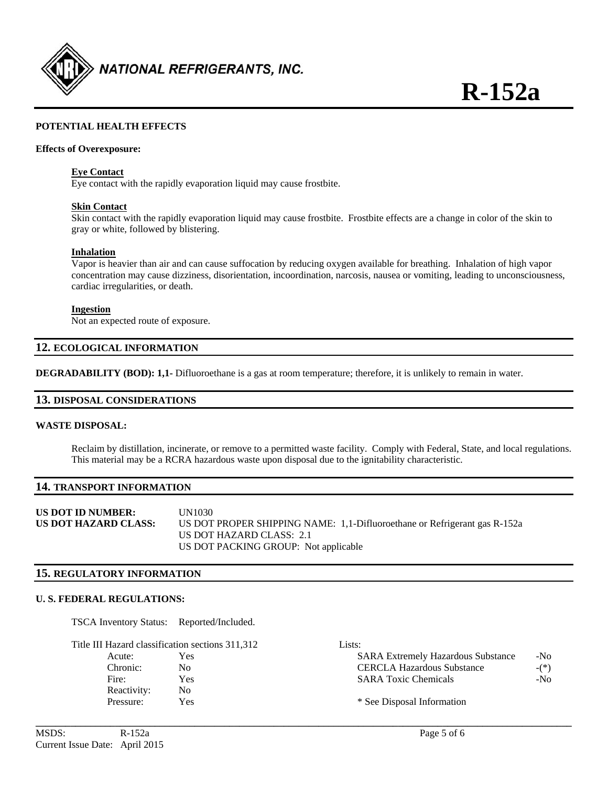

# **POTENTIAL HEALTH EFFECTS**

#### **Effects of Overexposure:**

#### **Eye Contact**

Eye contact with the rapidly evaporation liquid may cause frostbite.

#### **Skin Contact**

 Skin contact with the rapidly evaporation liquid may cause frostbite. Frostbite effects are a change in color of the skin to gray or white, followed by blistering.

#### **Inhalation**

 Vapor is heavier than air and can cause suffocation by reducing oxygen available for breathing. Inhalation of high vapor concentration may cause dizziness, disorientation, incoordination, narcosis, nausea or vomiting, leading to unconsciousness, cardiac irregularities, or death.

#### **Ingestion**

Not an expected route of exposure.

# **12. ECOLOGICAL INFORMATION**

**DEGRADABILITY (BOD): 1,1-** Difluoroethane is a gas at room temperature; therefore, it is unlikely to remain in water.

#### **13. DISPOSAL CONSIDERATIONS**

#### **WASTE DISPOSAL:**

 Reclaim by distillation, incinerate, or remove to a permitted waste facility. Comply with Federal, State, and local regulations. This material may be a RCRA hazardous waste upon disposal due to the ignitability characteristic.

## **14. TRANSPORT INFORMATION**

| US DOT ID NUMBER:    | UN1030-                                                                   |  |
|----------------------|---------------------------------------------------------------------------|--|
| US DOT HAZARD CLASS: | US DOT PROPER SHIPPING NAME: 1,1-Difluoroethane or Refrigerant gas R-152a |  |
|                      | US DOT HAZARD CLASS: 2.1                                                  |  |
|                      | US DOT PACKING GROUP: Not applicable                                      |  |

#### **15. REGULATORY INFORMATION**

#### **U. S. FEDERAL REGULATIONS:**

TSCA Inventory Status: Reported/Included.

|             | Title III Hazard classification sections 311,312 | Lists:                                    |        |
|-------------|--------------------------------------------------|-------------------------------------------|--------|
| Acute:      | Yes                                              | <b>SARA Extremely Hazardous Substance</b> | $-N0$  |
| Chronic:    | No.                                              | <b>CERCLA Hazardous Substance</b>         | $-(*)$ |
| Fire:       | Yes                                              | <b>SARA Toxic Chemicals</b>               | $-N0$  |
| Reactivity: | No                                               |                                           |        |
| Pressure:   | Yes                                              | * See Disposal Information                |        |

**\_\_\_\_\_\_\_\_\_\_\_\_\_\_\_\_\_\_\_\_\_\_\_\_\_\_\_\_\_\_\_\_\_\_\_\_\_\_\_\_\_\_\_\_\_\_\_\_\_\_\_\_\_\_\_\_\_\_\_\_\_\_\_\_\_\_\_\_\_\_\_\_\_\_\_\_\_\_\_\_\_\_\_\_\_\_\_\_\_\_\_\_\_\_\_\_\_\_\_\_\_\_\_\_\_\_\_\_**